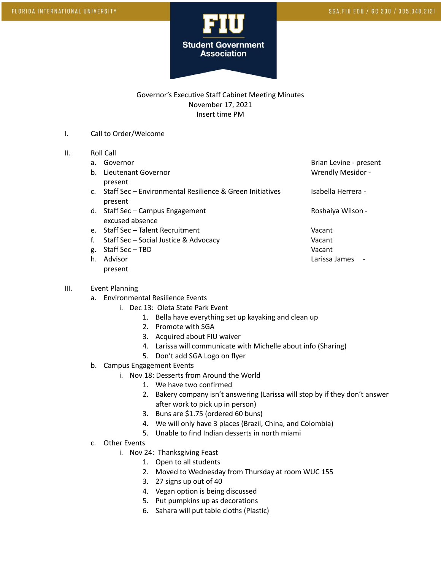

## Governor's Executive Staff Cabinet Meeting Minutes November 17, 2021 Insert time PM

- I. Call to Order/Welcome
- II. Roll Call
	-
	- b. Lieutenant Governor November 2008 and Wrendly Mesidor present
	- c. Staff Sec Environmental Resilience & Green Initiatives Isabella Herrera present
	- d. Staff Sec Campus Engagement Campus Controller Campus Controller Roshaiya Wilson excused absence
	- e. Staff Sec Talent Recruitment Vacant
	- f. Staff Sec Social Justice & Advocacy Vacant
	- g. Staff Sec TBD Vacant h. Advisor Larissa James present

a. Governor and the set of the set of the set of the Brian Levine - present

- III. Event Planning
	- a. Environmental Resilience Events
		- i. Dec 13: Oleta State Park Event
			- 1. Bella have everything set up kayaking and clean up
			- 2. Promote with SGA
			- 3. Acquired about FIU waiver
			- 4. Larissa will communicate with Michelle about info (Sharing)
			- 5. Don't add SGA Logo on flyer
	- b. Campus Engagement Events
		- i. Nov 18: Desserts from Around the World
			- 1. We have two confirmed
			- 2. Bakery company isn't answering (Larissa will stop by if they don't answer after work to pick up in person)
			- 3. Buns are \$1.75 (ordered 60 buns)
			- 4. We will only have 3 places (Brazil, China, and Colombia)
			- 5. Unable to find Indian desserts in north miami
	- c. Other Events
		- i. Nov 24: Thanksgiving Feast
			- 1. Open to all students
			- 2. Moved to Wednesday from Thursday at room WUC 155
			- 3. 27 signs up out of 40
			- 4. Vegan option is being discussed
			- 5. Put pumpkins up as decorations
			- 6. Sahara will put table cloths (Plastic)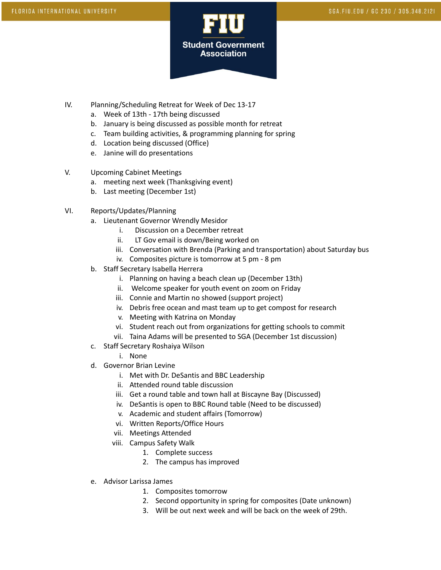

- IV. Planning/Scheduling Retreat for Week of Dec 13-17
	- a. Week of 13th 17th being discussed
	- b. January is being discussed as possible month for retreat
	- c. Team building activities, & programming planning for spring
	- d. Location being discussed (Office)
	- e. Janine will do presentations
- V. Upcoming Cabinet Meetings
	- a. meeting next week (Thanksgiving event)
	- b. Last meeting (December 1st)
- VI. Reports/Updates/Planning
	- a. Lieutenant Governor Wrendly Mesidor
		- i. Discussion on a December retreat
		- ii. LT Gov email is down/Being worked on
		- iii. Conversation with Brenda (Parking and transportation) about Saturday bus
		- iv. Composites picture is tomorrow at 5 pm 8 pm
	- b. Staff Secretary Isabella Herrera
		- i. Planning on having a beach clean up (December 13th)
		- ii. Welcome speaker for youth event on zoom on Friday
		- iii. Connie and Martin no showed (support project)
		- iv. Debris free ocean and mast team up to get compost for research
		- v. Meeting with Katrina on Monday
		- vi. Student reach out from organizations for getting schools to commit
		- vii. Taina Adams will be presented to SGA (December 1st discussion)
	- c. Staff Secretary Roshaiya Wilson
		- i. None
	- d. Governor Brian Levine
		- i. Met with Dr. DeSantis and BBC Leadership
		- ii. Attended round table discussion
		- iii. Get a round table and town hall at Biscayne Bay (Discussed)
		- iv. DeSantis is open to BBC Round table (Need to be discussed)
		- v. Academic and student affairs (Tomorrow)
		- vi. Written Reports/Office Hours
		- vii. Meetings Attended
		- viii. Campus Safety Walk
			- 1. Complete success
			- 2. The campus has improved
	- e. Advisor Larissa James
		- 1. Composites tomorrow
		- 2. Second opportunity in spring for composites (Date unknown)
		- 3. Will be out next week and will be back on the week of 29th.